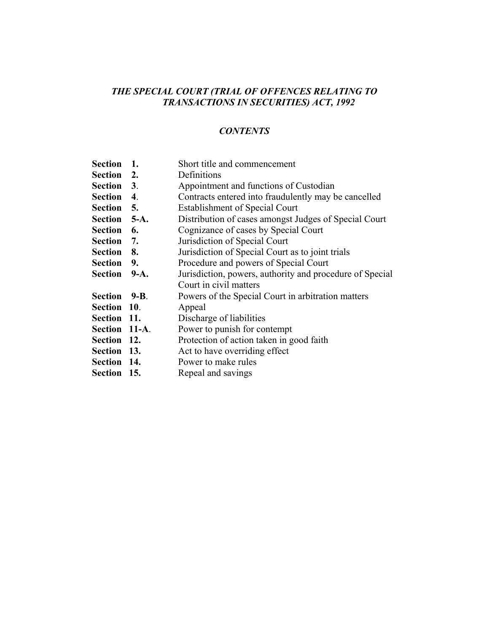#### *CONTENTS*

**Section 1.** Short title and commencement

- **Section 2.** Definitions **Section** 3. Appointment and functions of Custodian **Section** 4. Contracts entered into fraudulently may be cancelled Section 5. Establishment of Special Court **Section** 5-A. Distribution of cases amongst Judges of Special Court Section 6. Cognizance of cases by Special Court **Section 7.** Jurisdiction of Special Court **Section 8.** Jurisdiction of Special Court as to joint trials **Section** 9. Procedure and powers of Special Court **Section** 9-A. Jurisdiction, powers, authority and procedure of Special Court in civil matters **Section 9-B**. Powers of the Special Court in arbitration matters **Section 10**. Appeal **Section 11.** Discharge of liabilities **Section 11-A**. Power to punish for contempt **Section 12.** Protection of action taken in good faith **Section 13.** Act to have overriding effect **Section 14.** Power to make rules
- **Section 15.** Repeal and savings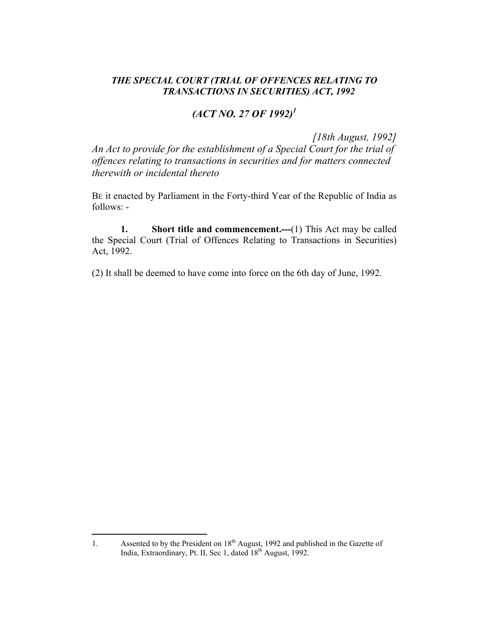# *(ACT NO. 27 OF 1992)1*

*[18th August, 1992]* 

*An Act to provide for the establishment of a Special Court for the trial of offences relating to transactions in securities and for matters connected therewith or incidental thereto* 

BE it enacted by Parliament in the Forty-third Year of the Republic of India as follows: -

**1.** Short title and commencement.——(1) This Act may be called the Special Court (Trial of Offences Relating to Transactions in Securities) Act, 1992.

(2) It shall be deemed to have come into force on the 6th day of June, 1992.

 $\overline{a}$ 

<sup>1.</sup> Assented to by the President on  $18<sup>th</sup>$  August, 1992 and published in the Gazette of India, Extraordinary, Pt. II, Sec 1, dated 18<sup>th</sup> August, 1992.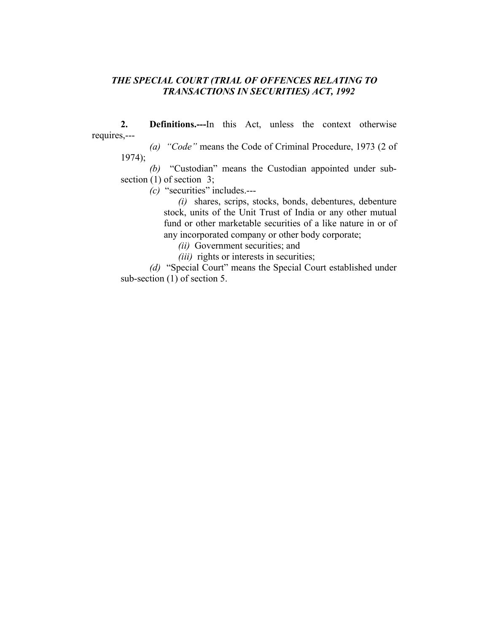**2. Definitions.---**In this Act, unless the context otherwise requires,---

*(a) "Code"* means the Code of Criminal Procedure, 1973 (2 of 1974);

*(b)* "Custodian" means the Custodian appointed under subsection (1) of section 3;

*(c)* "securities" includes.---

*(i)* shares, scrips, stocks, bonds, debentures, debenture stock, units of the Unit Trust of India or any other mutual fund or other marketable securities of a like nature in or of any incorporated company or other body corporate;

*(ii)* Government securities; and

*(iii)* rights or interests in securities;

*(d)* "Special Court" means the Special Court established under sub-section (1) of section 5.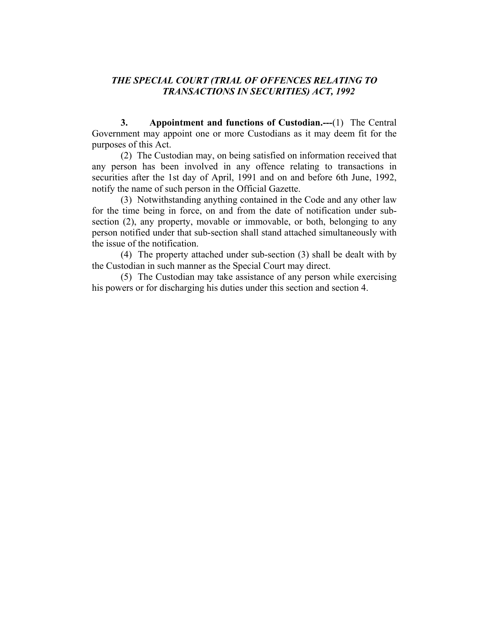**3. Appointment and functions of Custodian.---**(1) The Central Government may appoint one or more Custodians as it may deem fit for the purposes of this Act.

 (2) The Custodian may, on being satisfied on information received that any person has been involved in any offence relating to transactions in securities after the 1st day of April, 1991 and on and before 6th June, 1992, notify the name of such person in the Official Gazette.

 (3) Notwithstanding anything contained in the Code and any other law for the time being in force, on and from the date of notification under subsection (2), any property, movable or immovable, or both, belonging to any person notified under that sub-section shall stand attached simultaneously with the issue of the notification.

 (4) The property attached under sub-section (3) shall be dealt with by the Custodian in such manner as the Special Court may direct.

 (5) The Custodian may take assistance of any person while exercising his powers or for discharging his duties under this section and section 4.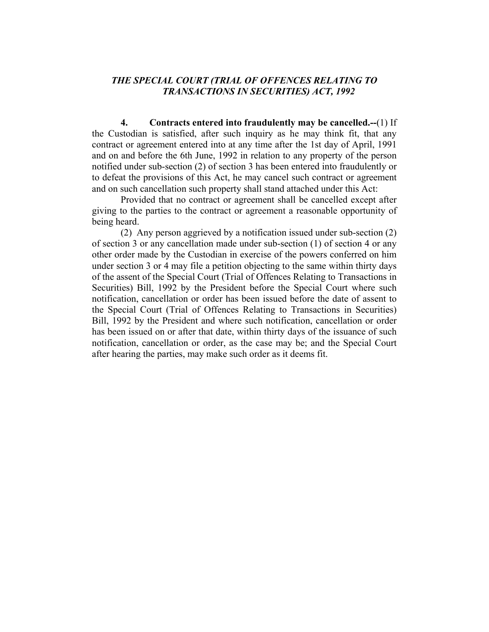**4. Contracts entered into fraudulently may be cancelled.--**(1) If the Custodian is satisfied, after such inquiry as he may think fit, that any contract or agreement entered into at any time after the 1st day of April, 1991 and on and before the 6th June, 1992 in relation to any property of the person notified under sub-section (2) of section 3 has been entered into fraudulently or to defeat the provisions of this Act, he may cancel such contract or agreement and on such cancellation such property shall stand attached under this Act:

 Provided that no contract or agreement shall be cancelled except after giving to the parties to the contract or agreement a reasonable opportunity of being heard.

 (2) Any person aggrieved by a notification issued under sub-section (2) of section 3 or any cancellation made under sub-section (1) of section 4 or any other order made by the Custodian in exercise of the powers conferred on him under section 3 or 4 may file a petition objecting to the same within thirty days of the assent of the Special Court (Trial of Offences Relating to Transactions in Securities) Bill, 1992 by the President before the Special Court where such notification, cancellation or order has been issued before the date of assent to the Special Court (Trial of Offences Relating to Transactions in Securities) Bill, 1992 by the President and where such notification, cancellation or order has been issued on or after that date, within thirty days of the issuance of such notification, cancellation or order, as the case may be; and the Special Court after hearing the parties, may make such order as it deems fit.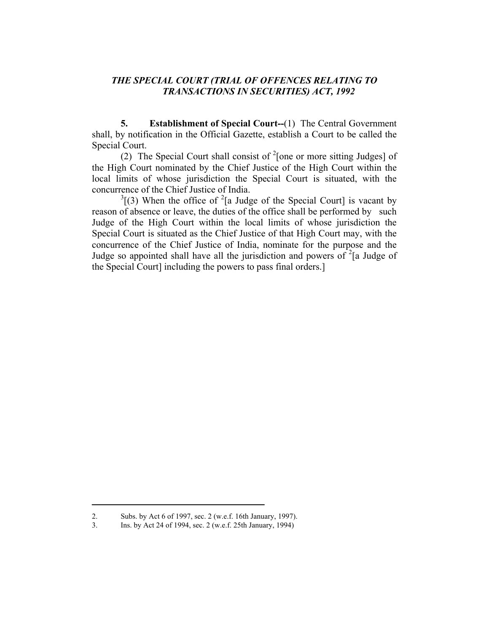**5. Establishment of Special Court--**(1) The Central Government shall, by notification in the Official Gazette, establish a Court to be called the Special Court.

(2) The Special Court shall consist of  $2$ [one or more sitting Judges] of the High Court nominated by the Chief Justice of the High Court within the local limits of whose jurisdiction the Special Court is situated, with the concurrence of the Chief Justice of India.

 $3(3)$  When the office of <sup>2</sup>[a Judge of the Special Court] is vacant by reason of absence or leave, the duties of the office shall be performed by such Judge of the High Court within the local limits of whose jurisdiction the Special Court is situated as the Chief Justice of that High Court may, with the concurrence of the Chief Justice of India, nominate for the purpose and the Judge so appointed shall have all the jurisdiction and powers of  $2^{2}$  [a Judge of the Special Court] including the powers to pass final orders.]

<sup>2.</sup> Subs. by Act 6 of 1997, sec. 2 (w.e.f. 16th January, 1997).

<sup>3.</sup> Ins. by Act 24 of 1994, sec. 2 (w.e.f. 25th January, 1994)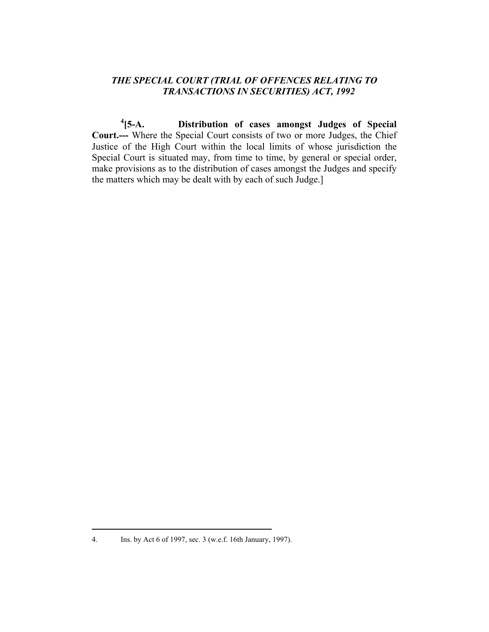**4[5-A. Distribution of cases amongst Judges of Special Court.---** Where the Special Court consists of two or more Judges, the Chief Justice of the High Court within the local limits of whose jurisdiction the Special Court is situated may, from time to time, by general or special order, make provisions as to the distribution of cases amongst the Judges and specify the matters which may be dealt with by each of such Judge.]

<sup>4.</sup> Ins. by Act 6 of 1997, sec. 3 (w.e.f. 16th January, 1997).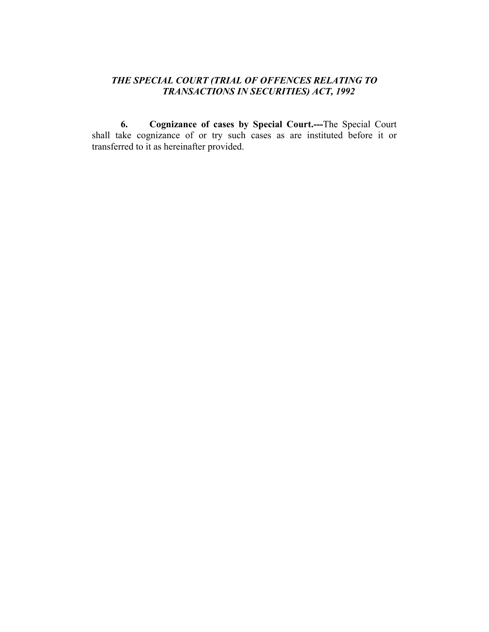**6. Cognizance of cases by Special Court.---**The Special Court shall take cognizance of or try such cases as are instituted before it or transferred to it as hereinafter provided.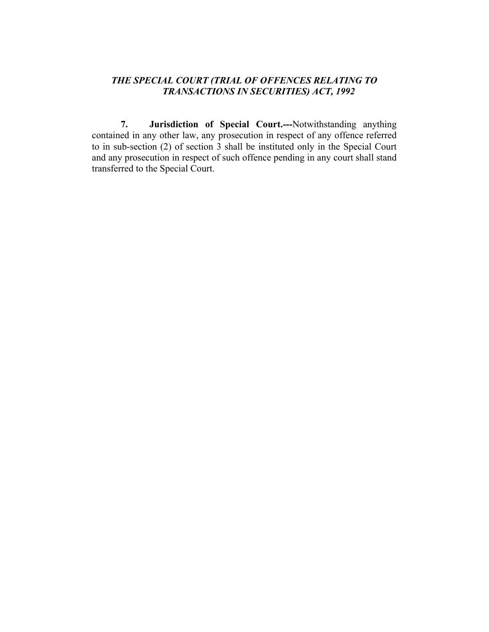**7. Jurisdiction of Special Court.---**Notwithstanding anything contained in any other law, any prosecution in respect of any offence referred to in sub-section (2) of section 3 shall be instituted only in the Special Court and any prosecution in respect of such offence pending in any court shall stand transferred to the Special Court.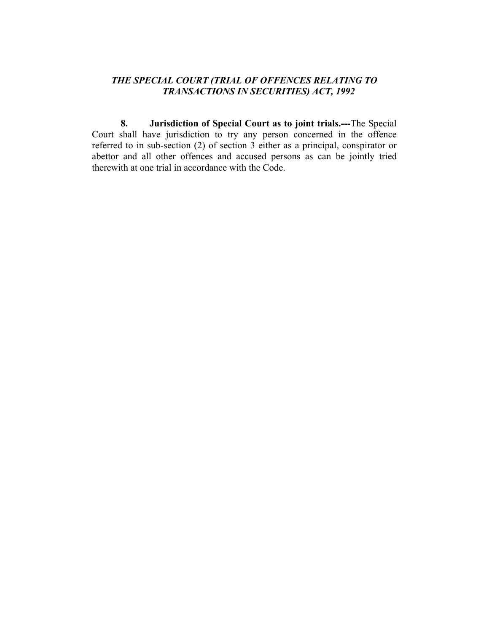**8. Jurisdiction of Special Court as to joint trials.---**The Special Court shall have jurisdiction to try any person concerned in the offence referred to in sub-section (2) of section 3 either as a principal, conspirator or abettor and all other offences and accused persons as can be jointly tried therewith at one trial in accordance with the Code.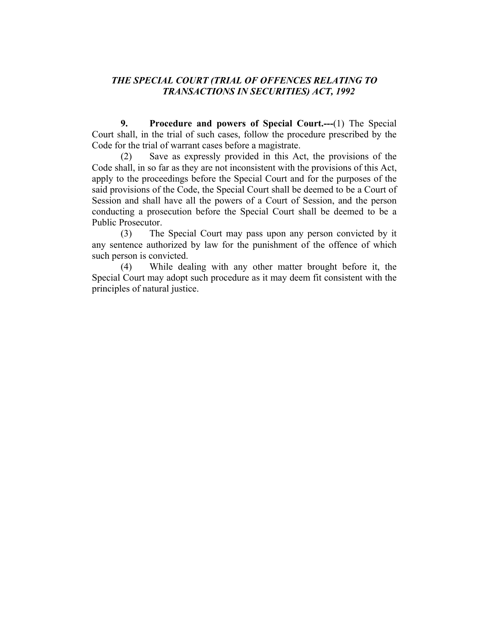**9. Procedure and powers of Special Court.---**(1) The Special Court shall, in the trial of such cases, follow the procedure prescribed by the Code for the trial of warrant cases before a magistrate.

 (2) Save as expressly provided in this Act, the provisions of the Code shall, in so far as they are not inconsistent with the provisions of this Act, apply to the proceedings before the Special Court and for the purposes of the said provisions of the Code, the Special Court shall be deemed to be a Court of Session and shall have all the powers of a Court of Session, and the person conducting a prosecution before the Special Court shall be deemed to be a Public Prosecutor.

 (3) The Special Court may pass upon any person convicted by it any sentence authorized by law for the punishment of the offence of which such person is convicted.

 (4) While dealing with any other matter brought before it, the Special Court may adopt such procedure as it may deem fit consistent with the principles of natural justice.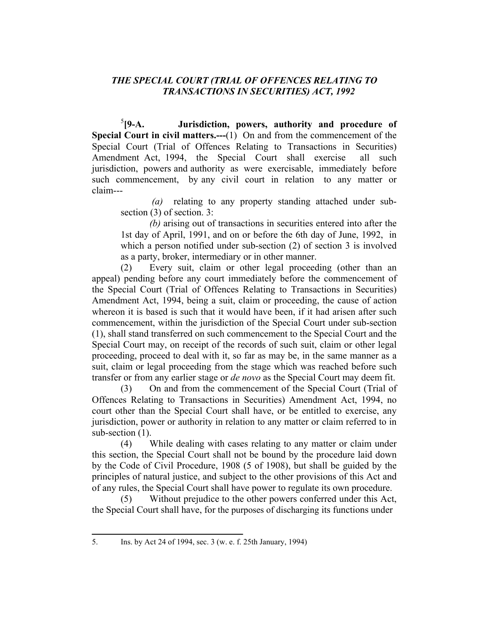$5$ [9-A. Jurisdiction, powers, authority and procedure of **Special Court in civil matters.---**(1) On and from the commencement of the Special Court (Trial of Offences Relating to Transactions in Securities) Amendment Act, 1994, the Special Court shall exercise all such jurisdiction, powers and authority as were exercisable, immediately before such commencement, by any civil court in relation to any matter or claim---

 *(a)* relating to any property standing attached under subsection (3) of section. 3:

*(b)* arising out of transactions in securities entered into after the 1st day of April, 1991, and on or before the 6th day of June, 1992, in which a person notified under sub-section (2) of section 3 is involved as a party, broker, intermediary or in other manner.

 (2) Every suit, claim or other legal proceeding (other than an appeal) pending before any court immediately before the commencement of the Special Court (Trial of Offences Relating to Transactions in Securities) Amendment Act, 1994, being a suit, claim or proceeding, the cause of action whereon it is based is such that it would have been, if it had arisen after such commencement, within the jurisdiction of the Special Court under sub-section (1), shall stand transferred on such commencement to the Special Court and the Special Court may, on receipt of the records of such suit, claim or other legal proceeding, proceed to deal with it, so far as may be, in the same manner as a suit, claim or legal proceeding from the stage which was reached before such transfer or from any earlier stage or *de novo* as the Special Court may deem fit.

 (3) On and from the commencement of the Special Court (Trial of Offences Relating to Transactions in Securities) Amendment Act, 1994, no court other than the Special Court shall have, or be entitled to exercise, any jurisdiction, power or authority in relation to any matter or claim referred to in sub-section  $(1)$ .

 (4) While dealing with cases relating to any matter or claim under this section, the Special Court shall not be bound by the procedure laid down by the Code of Civil Procedure, 1908 (5 of 1908), but shall be guided by the principles of natural justice, and subject to the other provisions of this Act and of any rules, the Special Court shall have power to regulate its own procedure.

Without prejudice to the other powers conferred under this Act, the Special Court shall have, for the purposes of discharging its functions under

<sup>5.</sup> Ins. by Act 24 of 1994, sec. 3 (w. e. f. 25th January, 1994)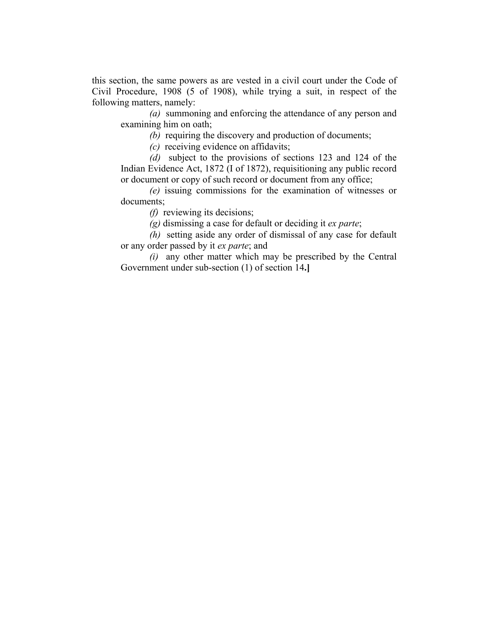this section, the same powers as are vested in a civil court under the Code of Civil Procedure, 1908 (5 of 1908), while trying a suit, in respect of the following matters, namely:

*(a)* summoning and enforcing the attendance of any person and examining him on oath;

*(b)* requiring the discovery and production of documents;

*(c)* receiving evidence on affidavits;

*(d)* subject to the provisions of sections 123 and 124 of the Indian Evidence Act, 1872 (I of 1872), requisitioning any public record or document or copy of such record or document from any office;

*(e)* issuing commissions for the examination of witnesses or documents;

*(f)* reviewing its decisions;

*(g)* dismissing a case for default or deciding it *ex parte*;

*(h)* setting aside any order of dismissal of any case for default or any order passed by it *ex parte*; and

*(i)* any other matter which may be prescribed by the Central Government under sub-section (1) of section 14**.]**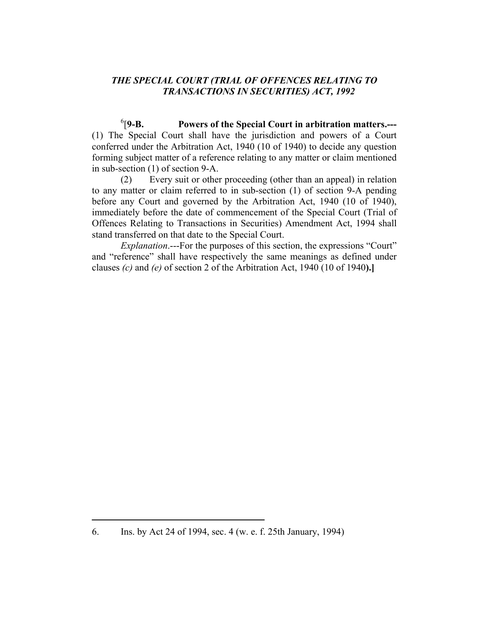$6$ [9-B. Powers of the Special Court in arbitration matters.---(1) The Special Court shall have the jurisdiction and powers of a Court conferred under the Arbitration Act, 1940 (10 of 1940) to decide any question forming subject matter of a reference relating to any matter or claim mentioned in sub-section (1) of section 9-A.

 (2) Every suit or other proceeding (other than an appeal) in relation to any matter or claim referred to in sub-section (1) of section 9-A pending before any Court and governed by the Arbitration Act, 1940 (10 of 1940), immediately before the date of commencement of the Special Court (Trial of Offences Relating to Transactions in Securities) Amendment Act, 1994 shall stand transferred on that date to the Special Court.

*Explanation*.---For the purposes of this section, the expressions "Court" and "reference" shall have respectively the same meanings as defined under clauses *(c)* and *(e)* of section 2 of the Arbitration Act, 1940 (10 of 1940**).]** 

<sup>6.</sup> Ins. by Act 24 of 1994, sec. 4 (w. e. f. 25th January, 1994)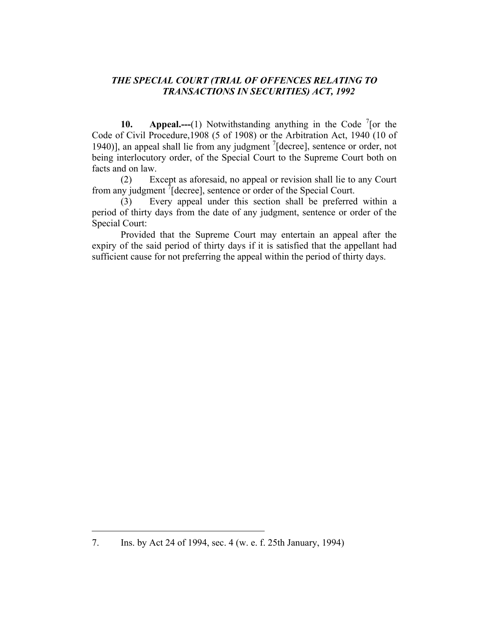**10.** Appeal.——(1) Notwithstanding anything in the Code  $\frac{7}{1}$  [or the Code of Civil Procedure,1908 (5 of 1908) or the Arbitration Act, 1940 (10 of 1940)], an appeal shall lie from any judgment <sup>7</sup>[decree], sentence or order, not being interlocutory order, of the Special Court to the Supreme Court both on facts and on law.

 (2) Except as aforesaid, no appeal or revision shall lie to any Court from any judgment  $\sqrt[7]{}$  [decree], sentence or order of the Special Court.

 (3) Every appeal under this section shall be preferred within a period of thirty days from the date of any judgment, sentence or order of the Special Court:

 Provided that the Supreme Court may entertain an appeal after the expiry of the said period of thirty days if it is satisfied that the appellant had sufficient cause for not preferring the appeal within the period of thirty days.

<sup>7.</sup> Ins. by Act 24 of 1994, sec. 4 (w. e. f. 25th January, 1994)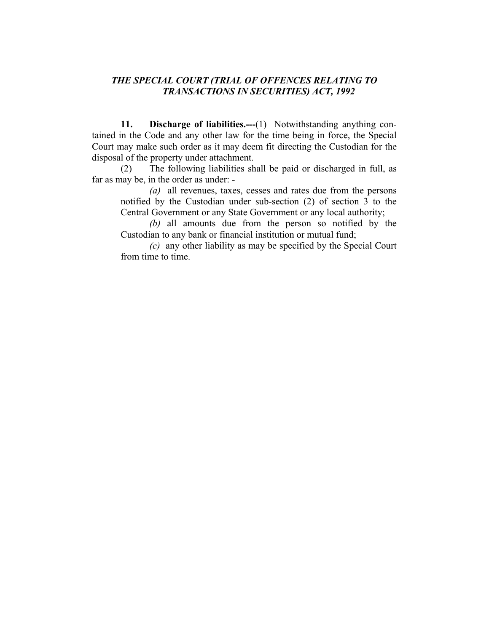**11. Discharge of liabilities.---**(1) Notwithstanding anything contained in the Code and any other law for the time being in force, the Special Court may make such order as it may deem fit directing the Custodian for the disposal of the property under attachment.

 (2) The following liabilities shall be paid or discharged in full, as far as may be, in the order as under: -

*(a)* all revenues, taxes, cesses and rates due from the persons notified by the Custodian under sub-section (2) of section 3 to the Central Government or any State Government or any local authority;

*(b)* all amounts due from the person so notified by the Custodian to any bank or financial institution or mutual fund;

*(c)* any other liability as may be specified by the Special Court from time to time.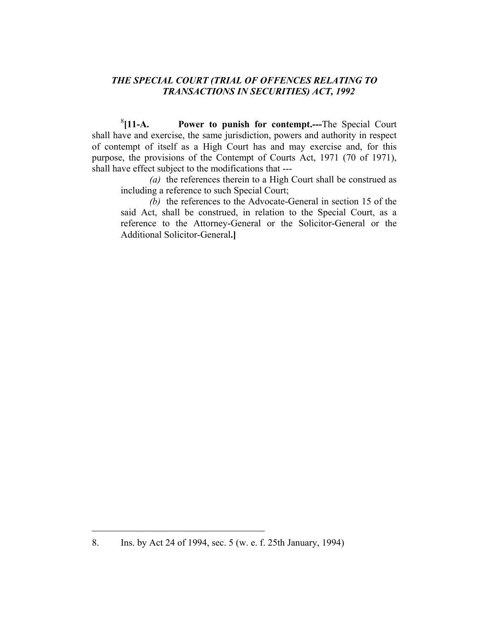8 **[11-A. Power to punish for contempt.---**The Special Court shall have and exercise, the same jurisdiction, powers and authority in respect of contempt of itself as a High Court has and may exercise and, for this purpose, the provisions of the Contempt of Courts Act, 1971 (70 of 1971), shall have effect subject to the modifications that ---

*(a)* the references therein to a High Court shall be construed as including a reference to such Special Court;

*(b)* the references to the Advocate-General in section 15 of the said Act, shall be construed, in relation to the Special Court, as a reference to the Attorney-General or the Solicitor-General or the Additional Solicitor-General**.]** 

<sup>8.</sup> Ins. by Act 24 of 1994, sec. 5 (w. e. f. 25th January, 1994)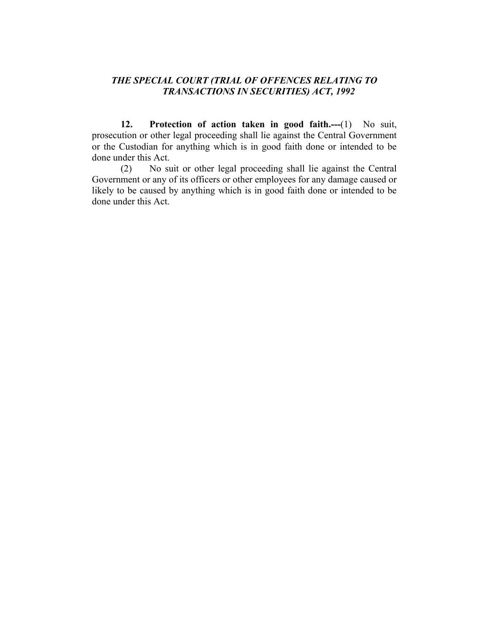**12. Protection of action taken in good faith.---**(1) No suit, prosecution or other legal proceeding shall lie against the Central Government or the Custodian for anything which is in good faith done or intended to be done under this Act.

 (2) No suit or other legal proceeding shall lie against the Central Government or any of its officers or other employees for any damage caused or likely to be caused by anything which is in good faith done or intended to be done under this Act.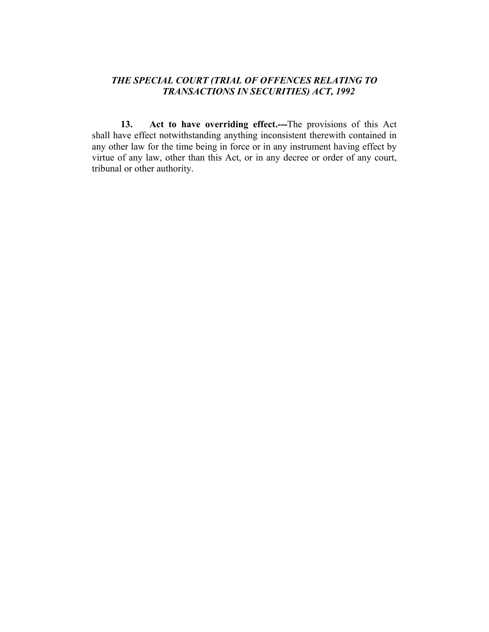**13. Act to have overriding effect.---**The provisions of this Act shall have effect notwithstanding anything inconsistent therewith contained in any other law for the time being in force or in any instrument having effect by virtue of any law, other than this Act, or in any decree or order of any court, tribunal or other authority.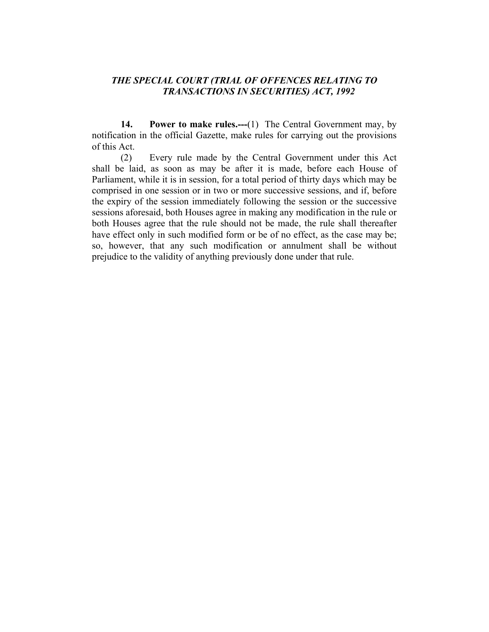**14.** Power to make rules.---(1) The Central Government may, by notification in the official Gazette, make rules for carrying out the provisions of this Act.

 (2) Every rule made by the Central Government under this Act shall be laid, as soon as may be after it is made, before each House of Parliament, while it is in session, for a total period of thirty days which may be comprised in one session or in two or more successive sessions, and if, before the expiry of the session immediately following the session or the successive sessions aforesaid, both Houses agree in making any modification in the rule or both Houses agree that the rule should not be made, the rule shall thereafter have effect only in such modified form or be of no effect, as the case may be; so, however, that any such modification or annulment shall be without prejudice to the validity of anything previously done under that rule.